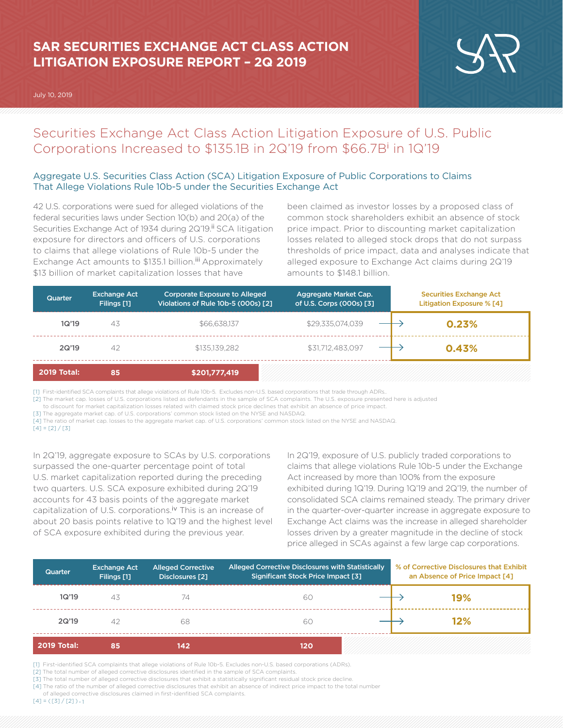# **SAR SECURITIES EXCHANGE ACT CLASS ACTION LITIGATION EXPOSURE REPORT – 2Q 2019**

July 10, 2019



## Securities Exchange Act Class Action Litigation Exposure of U.S. Public Corporations Increased to \$135.1B in 2Q'19 from \$66.7B<sup>i</sup> in 1Q'19

## Aggregate U.S. Securities Class Action (SCA) Litigation Exposure of Public Corporations to Claims That Allege Violations Rule 10b-5 under the Securities Exchange Act

42 U.S. corporations were sued for alleged violations of the federal securities laws under Section 10(b) and 20(a) of the Securities Exchange Act of 1934 during 2Q'19.<sup>ii</sup> SCA litigation exposure for directors and officers of U.S. corporations to claims that allege violations of Rule 10b-5 under the Exchange Act amounts to \$135.1 billion.<sup>iii</sup> Approximately \$13 billion of market capitalization losses that have

been claimed as investor losses by a proposed class of common stock shareholders exhibit an absence of stock price impact. Prior to discounting market capitalization losses related to alleged stock drops that do not surpass thresholds of price impact, data and analyses indicate that alleged exposure to Exchange Act claims during 2Q'19 amounts to \$148.1 billion.

| Quarter            | <b>Exchange Act</b><br>Filings [1] | <b>Corporate Exposure to Alleged</b><br>Violations of Rule 10b-5 (000s) [2] | Aggregate Market Cap.<br>of U.S. Corps (000s) [3] | <b>Securities Exchange Act</b><br><b>Litigation Exposure % [4]</b> |
|--------------------|------------------------------------|-----------------------------------------------------------------------------|---------------------------------------------------|--------------------------------------------------------------------|
| 1Q'19              | 43                                 | \$66,638,137                                                                | \$29,335,074,039                                  | 0.23%                                                              |
| 2Q'19              | 42                                 | \$135.139.282                                                               | \$31,712,483,097                                  | 0.43%                                                              |
| <b>2019 Total:</b> | 85                                 | \$201,777,419                                                               |                                                   |                                                                    |

[1] First-identified SCA complaints that allege violations of Rule 10b-5. Excludes non-U.S. based corporations that trade through ADRs..

[2] The market cap. losses of U.S. corporations listed as defendants in the sample of SCA complaints. The U.S. exposure presented here is adjusted

to discount for market capitalization losses related with claimed stock price declines that exhibit an absence of price impact.

[3] The aggregate market cap. of U.S. corporations' common stock listed on the NYSE and NASDAQ.

[4] The ratio of market cap. losses to the aggregate market cap. of U.S. corporations' common stock listed on the NYSE and NASDAQ.  $[4] = [2]/[3]$ 

In 2Q'19, aggregate exposure to SCAs by U.S. corporations surpassed the one-quarter percentage point of total U.S. market capitalization reported during the preceding two quarters. U.S. SCA exposure exhibited during 2Q'19 accounts for 43 basis points of the aggregate market capitalization of U.S. corporations.<sup>iv</sup> This is an increase of about 20 basis points relative to 1Q'19 and the highest level of SCA exposure exhibited during the previous year.

In 2Q'19, exposure of U.S. publicly traded corporations to claims that allege violations Rule 10b-5 under the Exchange Act increased by more than 100% from the exposure exhibited during 1Q'19. During 1Q'19 and 2Q'19, the number of consolidated SCA claims remained steady. The primary driver in the quarter-over-quarter increase in aggregate exposure to Exchange Act claims was the increase in alleged shareholder losses driven by a greater magnitude in the decline of stock price alleged in SCAs against a few large cap corporations.

| Quarter            | <b>Exchange Act</b><br>Filings [1] | <b>Alleged Corrective</b><br>Disclosures [2] | Alleged Corrective Disclosures with Statistically<br><b>Significant Stock Price Impact [3]</b> | % of Corrective Disclosures that Exhibit<br>an Absence of Price Impact [4] |
|--------------------|------------------------------------|----------------------------------------------|------------------------------------------------------------------------------------------------|----------------------------------------------------------------------------|
| 1Q'19              | 43                                 | 74                                           | 60                                                                                             | 19%                                                                        |
| 2Q'19              | 42                                 | 68                                           | 60                                                                                             | 12%                                                                        |
| <b>2019 Total:</b> | 85                                 | 142                                          | 120                                                                                            |                                                                            |

[1] First-identified SCA complaints that allege violations of Rule 10b-5. Excludes non-U.S. based corporations (ADRs).

[2] The total number of alleged corrective disclosures identified in the sample of SCA complaints.

[3] The total number of alleged corrective disclosures that exhibit a statistically significant residual stock price decline.

[4] The ratio of the number of alleged corrective disclosures that exhibit an absence of indirect price impact to the total number

 of alleged corrective disclosures claimed in first-idenfitied SCA complaints.  $[4] = ( [3] / [2]) - 1$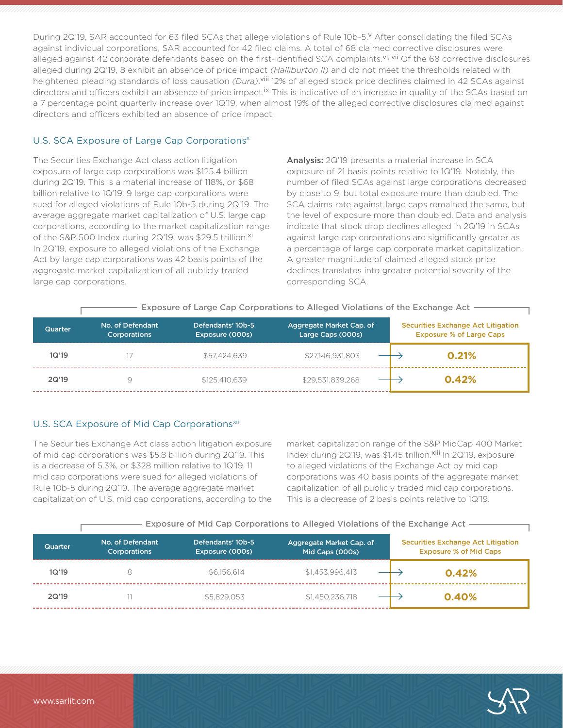During 2Q'19, SAR accounted for 63 filed SCAs that allege violations of Rule 10b-5.Y After consolidating the filed SCAs against individual corporations, SAR accounted for 42 filed claims. A total of 68 claimed corrective disclosures were alleged against 42 corporate defendants based on the first-identified SCA complaints.<sup>vi, vii</sup> Of the 68 corrective disclosures alleged during 2Q'19, 8 exhibit an absence of price impact *(Halliburton II)* and do not meet the thresholds related with heightened pleading standards of loss causation *(Dura)*. viii 12% of alleged stock price declines claimed in 42 SCAs against directors and officers exhibit an absence of price impact.<sup>Ix</sup> This is indicative of an increase in quality of the SCAs based on a 7 percentage point quarterly increase over 1Q'19, when almost 19% of the alleged corrective disclosures claimed against directors and officers exhibited an absence of price impact.

#### U.S. SCA Exposure of Large Cap Corporations<sup>x</sup>

The Securities Exchange Act class action litigation exposure of large cap corporations was \$125.4 billion during 2Q'19. This is a material increase of 118%, or \$68 billion relative to 1Q'19. 9 large cap corporations were sued for alleged violations of Rule 10b-5 during 2Q'19. The average aggregate market capitalization of U.S. large cap corporations, according to the market capitalization range of the S&P 500 Index during 2Q'19, was \$29.5 trillion.xi In 2Q'19, exposure to alleged violations of the Exchange Act by large cap corporations was 42 basis points of the aggregate market capitalization of all publicly traded large cap corporations.

Analysis: 2Q'19 presents a material increase in SCA exposure of 21 basis points relative to 1Q'19. Notably, the number of filed SCAs against large corporations decreased by close to 9, but total exposure more than doubled. The SCA claims rate against large caps remained the same, but the level of exposure more than doubled. Data and analysis indicate that stock drop declines alleged in 2Q'19 in SCAs against large cap corporations are significantly greater as a percentage of large cap corporate market capitalization. A greater magnitude of claimed alleged stock price declines translates into greater potential severity of the corresponding SCA.

| Exposure of Large Cap Corporations to Alleged Violations of the Exchange Act |                                         |                                      |                                               |                                                                              |  |  |  |
|------------------------------------------------------------------------------|-----------------------------------------|--------------------------------------|-----------------------------------------------|------------------------------------------------------------------------------|--|--|--|
| <b>Quarter</b>                                                               | No. of Defendant<br><b>Corporations</b> | Defendants' 10b-5<br>Exposure (000s) | Aggregate Market Cap. of<br>Large Caps (000s) | <b>Securities Exchange Act Litigation</b><br><b>Exposure % of Large Caps</b> |  |  |  |
| 1Q'19                                                                        |                                         | \$57,424,639                         | \$27,146,931,803                              | 0.21%                                                                        |  |  |  |
| 2Q'19                                                                        | 9                                       | \$125,410,639                        | \$29.531.839.268                              | 0.42%                                                                        |  |  |  |

## U.S. SCA Exposure of Mid Cap Corporations<sup>xii</sup>

The Securities Exchange Act class action litigation exposure of mid cap corporations was \$5.8 billion during 2Q'19. This is a decrease of 5.3%, or \$328 million relative to 1Q'19. 11 mid cap corporations were sued for alleged violations of Rule 10b-5 during 2Q'19. The average aggregate market capitalization of U.S. mid cap corporations, according to the market capitalization range of the S&P MidCap 400 Market Index during 2Q'19, was \$1.45 trillion.xiii In 2Q'19, exposure to alleged violations of the Exchange Act by mid cap corporations was 40 basis points of the aggregate market capitalization of all publicly traded mid cap corporations. This is a decrease of 2 basis points relative to 1Q'19.

|  |  | - Exposure of Mid Cap Corporations to Alleged Violations of the Exchange Act |  |  |  |
|--|--|------------------------------------------------------------------------------|--|--|--|

| <b>Quarter</b> | No. of Defendant<br><b>Corporations</b> | Defendants' 10b-5<br>Exposure (000s) | Aggregate Market Cap. of<br>Mid Caps (000s) | <b>Securities Exchange Act Litigation</b><br><b>Exposure % of Mid Caps</b> |
|----------------|-----------------------------------------|--------------------------------------|---------------------------------------------|----------------------------------------------------------------------------|
| 1Q'19          | 8                                       | \$6.156.614                          | \$1.453.996.413                             | 0.42%                                                                      |
| 2Q'19          |                                         | \$5,829,053                          | \$1,450,236,718                             | 0.40%                                                                      |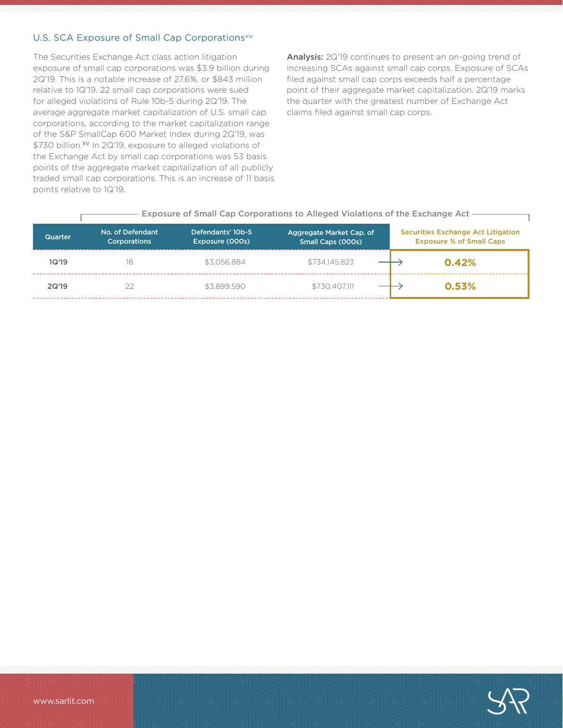## U.S. SCA Exposure of Small Cap Corporationsxiv

The Securities Exchange Act class action litigation exposure of small cap corporations was \$3.9 billion during 2Q'19. This is a notable increase of 27.6%, or \$843 million relative to 1Q'19. 22 small cap corporations were sued for alleged violations of Rule 10b-5 during 2Q'19. The average aggregate market capitalization of U.S. small cap corporations, according to the market capitalization range of the S&P SmallCap 600 Market Index during 2Q'19, was \$730 billion.<sup>xv</sup> In 2Q'19, exposure to alleged violations of the Exchange Act by small cap corporations was 53 basis points of the aggregate market capitalization of all publicly traded small cap corporations. This is an increase of 11 basis points relative to 1Q'19.

Analysis: 2Q'19 continues to present an on-going trend of increasing SCAs against small cap corps. Exposure of SCAs filed against small cap corps exceeds half a percentage point of their aggregate market capitalization. 2Q'19 marks the quarter with the greatest number of Exchange Act claims filed against small cap corps.

| Exposure of Small Cap Corporations to Alleged Violations of the Exchange Act - |                                         |                                      |                                               |                                                                              |  |  |  |  |
|--------------------------------------------------------------------------------|-----------------------------------------|--------------------------------------|-----------------------------------------------|------------------------------------------------------------------------------|--|--|--|--|
| <b>Quarter</b>                                                                 | No. of Defendant<br><b>Corporations</b> | Defendants' 10b-5<br>Exposure (000s) | Aggregate Market Cap. of<br>Small Caps (000s) | <b>Securities Exchange Act Litigation</b><br><b>Exposure % of Small Caps</b> |  |  |  |  |
| 1Q'19                                                                          | 18                                      | \$3.056.884                          | \$734.145.823                                 | 0.42%                                                                        |  |  |  |  |
| 2Q'19                                                                          | 22                                      | \$3,899.590                          | \$730,407.111                                 | 0.53%                                                                        |  |  |  |  |

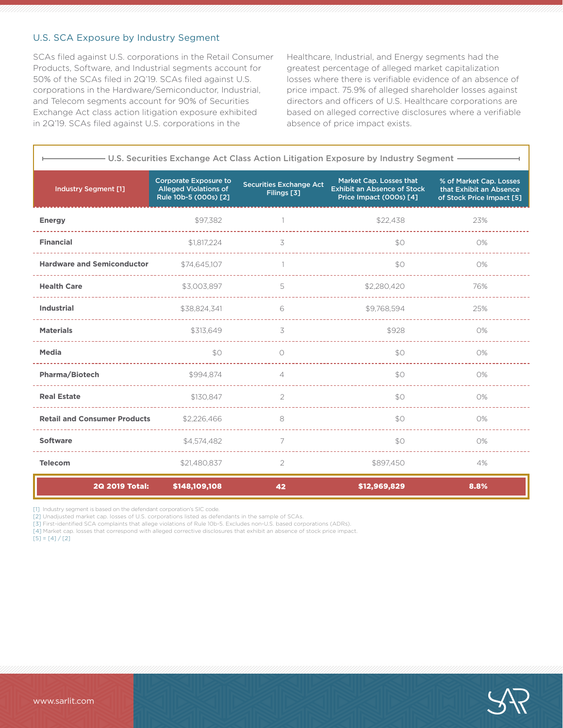## U.S. SCA Exposure by Industry Segment

SCAs filed against U.S. corporations in the Retail Consumer Products, Software, and Industrial segments account for 50% of the SCAs filed in 2Q'19. SCAs filed against U.S. corporations in the Hardware/Semiconductor, Industrial, and Telecom segments account for 90% of Securities Exchange Act class action litigation exposure exhibited in 2Q'19. SCAs filed against U.S. corporations in the

Healthcare, Industrial, and Energy segments had the greatest percentage of alleged market capitalization losses where there is verifiable evidence of an absence of price impact. 75.9% of alleged shareholder losses against directors and officers of U.S. Healthcare corporations are based on alleged corrective disclosures where a verifiable absence of price impact exists.

| - U.S. Securities Exchange Act Class Action Litigation Exposure by Industry Segment - |                                                                                       |                                               |                                                                                          |                                                                                 |  |  |
|---------------------------------------------------------------------------------------|---------------------------------------------------------------------------------------|-----------------------------------------------|------------------------------------------------------------------------------------------|---------------------------------------------------------------------------------|--|--|
| <b>Industry Segment [1]</b>                                                           | <b>Corporate Exposure to</b><br><b>Alleged Violations of</b><br>Rule 10b-5 (000s) [2] | <b>Securities Exchange Act</b><br>Filings [3] | Market Cap. Losses that<br><b>Exhibit an Absence of Stock</b><br>Price Impact (000s) [4] | % of Market Cap. Losses<br>that Exhibit an Absence<br>of Stock Price Impact [5] |  |  |
| <b>Energy</b>                                                                         | \$97,382                                                                              |                                               | \$22,438                                                                                 | 23%                                                                             |  |  |
| <b>Financial</b>                                                                      | \$1,817,224                                                                           | 3                                             | \$0                                                                                      | 0%                                                                              |  |  |
| <b>Hardware and Semiconductor</b>                                                     | \$74,645,107                                                                          |                                               | \$0                                                                                      | 0%                                                                              |  |  |
| <b>Health Care</b>                                                                    | \$3,003,897                                                                           | 5                                             | \$2,280,420                                                                              | 76%                                                                             |  |  |
| <b>Industrial</b>                                                                     | \$38,824,341                                                                          | 6                                             | \$9,768,594                                                                              | 25%                                                                             |  |  |
| <b>Materials</b>                                                                      | \$313,649                                                                             | 3                                             | \$928                                                                                    | 0%                                                                              |  |  |
| <b>Media</b>                                                                          | \$0                                                                                   | $\bigcirc$                                    | \$0                                                                                      | 0%                                                                              |  |  |
| <b>Pharma/Biotech</b>                                                                 | \$994.874                                                                             | $\overline{4}$                                | \$0                                                                                      | 0%                                                                              |  |  |
| <b>Real Estate</b>                                                                    | \$130.847                                                                             | 2                                             | \$O                                                                                      | O%                                                                              |  |  |
| <b>Retail and Consumer Products</b>                                                   | \$2,226,466                                                                           | 8                                             | \$O                                                                                      | 0%                                                                              |  |  |
| <b>Software</b>                                                                       | \$4,574,482                                                                           | 7                                             | \$0                                                                                      | 0%                                                                              |  |  |
| <b>Telecom</b>                                                                        | \$21,480,837                                                                          | 2                                             | \$897,450                                                                                | 4%                                                                              |  |  |
| 2Q 2019 Total:                                                                        | \$148,109,108                                                                         | 42                                            | \$12,969,829                                                                             | 8.8%                                                                            |  |  |

[1] Industry segment is based on the defendant corporation's SIC code.

[2] Unadjusted market cap. losses of U.S. corporations listed as defendants in the sample of SCAs.

[3] First-identified SCA complaints that allege violations of Rule 10b-5. Excludes non-U.S. based corporations (ADRs).

[4] Market cap. losses that correspond with alleged corrective disclosures that exhibit an absence of stock price impact.

 $[5] = [4]/[2]$